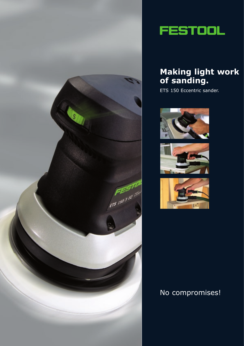



## **Making light work of sanding.**

ETS 150 Eccentric sander.







## No compromises!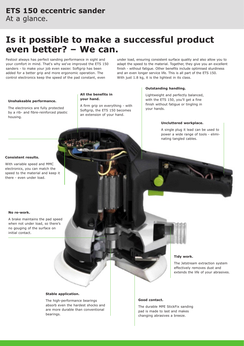## **Is it possible to make a successful product even better? – We can.**

**All the benefits in your hand.**

A firm grip on everything - with Softgrip, the ETS 150 becomes an extension of your hand.

Festool always has perfect sanding performance in sight and your comfort in mind. That's why we've improved the ETS 150 sanders - to make your job even easier. Softgrip has been added for a better grip and more ergonomic operation. The control electronics keep the speed of the pad constant, even

under load, ensuring consistent surface quality and also allow you to adapt the speed to the material. Together, they give you an excellent finish - without fatigue. Other benefits include optimised sturdiness and an even longer service life. This is all part of the ETS 150. With just 1.8 kg, it is the lightest in its class.

### **Outstanding handling.**

Lightweight and perfectly balanced, with the ETS 150, you'll get a fine finish without fatigue or tingling in your hands.

### **Uncluttered workplace.**

A single plug it lead can be used to power a wide range of tools - eliminating tangled cables.

#### **Consistent results.**

housing.

With variable speed and MMC electronics, you can match the speed to the material and keep it there - even under load.

**Unshakeable performance.** The electronics are fully protected by a rib- and fibre-reinforced plastic

#### **No re-work.**

A brake maintains the pad speed when not under load, so there's no gouging of the surface on initial contact.

## **Tidy work.**

The Jetstream extraction system effectively removes dust and extends the life of your abrasives.

#### **Stable application.**

The high-performance bearings absorb even the hardest shocks and are more durable than conventional bearings.

### **Good contact.**

The durable MPE StickFix sanding pad is made to last and makes changing abrasives a breeze.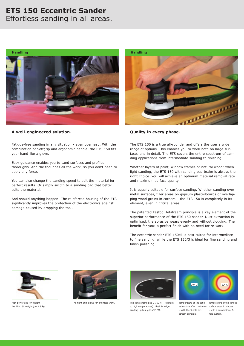# **ETS 150 Eccentric Sander**

## Effortless sanding in all areas.



## **A well-engineered solution.**

Fatigue-free sanding in any situation - even overhead. With the combination of Softgrip and ergonomic handle, the ETS 150 fits your hand like a glove.

Easy guidance enables you to sand surfaces and profiles thoroughly. And the tool does all the work, so you don't need to apply any force.

You can also change the sanding speed to suit the material for perfect results. Or simply switch to a sanding pad that better suits the material.

And should anything happen: The reinforced housing of the ETS significantly improves the protection of the electronics against damage caused by dropping the tool.



## **Quality in every phase.**

The ETS 150 is a true all-rounder and offers the user a wide range of options. This enables you to work both on large surfaces and in detail. The ETS covers the entire spectrum of sanding applications from intermediate sanding to finishing.

Whether layers of paint, window frames or natural wood: when light sanding, the ETS 150 with sanding pad brake is always the right choice. You will achieve an optimum material removal rate and maximum surface quality.

It is equally suitable for surface sanding. Whether sanding over metal surfaces, filler areas on gypsum plasterboards or overlapping wood grains in corners – the ETS 150 is completely in its element, even in critical areas.

The patented Festool Jetstream principle is a key element of the superior performance of the ETS 150 sander. Dust extraction is optimised, the abrasive wears evenly and without clogging. The benefit for you: a perfect finish with no need for re-work.

The eccentric sander ETS 150/5 is best suited for intermediate to fine sanding, while the ETS 150/3 is ideal for fine sanding and finish polishing.



High power and low weight – the ETS 150 weighs just 1.8 kg.





The right grip allows for effortless work. The soft sanding pad D 150 HT (resistant Temperature of the sandto high temperatures). Ideal for edgesanding up to a grit of P 220.



ed surface after 2 minutes surface after 2 minutes – with the 9-hole jetstream principle.

Temperature of the sanded – with a conventional 6 hole system.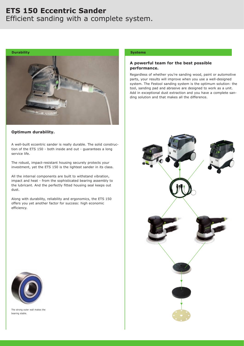## **ETS 150 Eccentric Sander** Efficient sanding with a complete system.



### **Optimum durability.**

A well-built eccentric sander is really durable. The solid construction of the ETS 150 - both inside and out - guarantees a long service life.

The robust, impact-resistant housing securely protects your investment, yet the ETS 150 is the lightest sander in its class.

All the internal components are built to withstand vibration, impact and heat - from the sophisticated bearing assembly to the lubricant. And the perfectly fitted housing seal keeps out dust.

Along with durability, reliability and ergonomics, the ETS 150 offers you yet another factor for success: high economic efficiency.

### **Systems**

### **A powerful team for the best possible performance.**

Regardless of whether you're sanding wood, paint or automotive parts, your results will improve when you use a well-designed system. The Festool sanding system is the optimum solution: the tool, sanding pad and abrasive are designed to work as a unit. Add in exceptional dust extraction and you have a complete sanding solution and that makes all the difference.





The strong outer wall makes the bearing stable.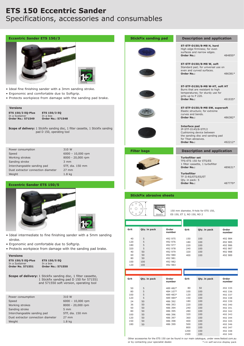## **ETS 150 Eccentric Sander** Specifications, accessories and consumables

| <b>Eccentric Sander ETS 150/3</b>                                                                                                                                                                  |                                                                                    |                                                                                                                                                   | <b>StickFix sanding pad</b>     |                      |                                                                                                             | <b>Description and application</b>                                                                                                                           |                    |  |
|----------------------------------------------------------------------------------------------------------------------------------------------------------------------------------------------------|------------------------------------------------------------------------------------|---------------------------------------------------------------------------------------------------------------------------------------------------|---------------------------------|----------------------|-------------------------------------------------------------------------------------------------------------|--------------------------------------------------------------------------------------------------------------------------------------------------------------|--------------------|--|
|                                                                                                                                                                                                    |                                                                                    |                                                                                                                                                   |                                 |                      | ST-STF-D150/8-M8 H, hard<br>High edge firmness; for even<br>surfaces and narrow edges.<br><b>Order No.:</b> |                                                                                                                                                              | 484850*            |  |
| GARANTIA                                                                                                                                                                                           |                                                                                    |                                                                                                                                                   |                                 |                      | <b>Order No.:</b>                                                                                           | ST-STF-D150/8-M8 W, soft<br>Standard pad; for universal use on<br>even and curved surfaces.                                                                  | 486381*            |  |
| • Ideal fine finishing sander with a 3mm sanding stroke.<br>• Ergonomic and comfortable due to Softgrip.<br>• Protects workpiece from damage with the sanding pad brake.                           |                                                                                    |                                                                                                                                                   |                                 |                      |                                                                                                             | ST-STF-D150/8-M8 W-HT, soft HT<br>Burrs that are resistant to high<br>temperatures; for sturdy use for<br>grits up to P 220.<br><b>Order No.:</b><br>491935* |                    |  |
| <b>Versions</b><br><b>ETS 150/3 EQ-Plus</b><br><b>ETS 150/3 EQ</b><br>In a Systainer<br>In a box<br><b>Order No.: 571548</b><br><b>Order No.: 571549</b>                                           |                                                                                    |                                                                                                                                                   |                                 |                      |                                                                                                             | ST-STF-D150/8-M8 SW, supersoft<br>Elastic structure; for extreme<br>curves and bends.<br><b>Order No.:</b><br>486382*                                        |                    |  |
| Scope of delivery: 1 Stickfix sanding disc, 1 filter cassette, 1 Stickfix sanding<br>pad D 150, operating tool                                                                                     |                                                                                    |                                                                                                                                                   |                                 |                      | Interface pad<br>IP-STF-D145/8-STF/2<br>for Titan abrasives.<br><b>Order No.:</b>                           | Cushioning device between<br>the sanding disc and sanding pad                                                                                                | 492212*            |  |
| Power consumption<br>310 W                                                                                                                                                                         |                                                                                    |                                                                                                                                                   |                                 |                      |                                                                                                             |                                                                                                                                                              |                    |  |
| $6000 - 10,000$ rpm<br>Speed<br>Working strokes<br>8000 - 20,000 rpm<br>Sanding stroke<br>3 mm<br>Interchangeable sanding pad<br>STF, dia. 150 mm<br>Dust extractor connection diameter<br>$27$ mm |                                                                                    |                                                                                                                                                   | <b>Filter bags</b>              |                      |                                                                                                             | <b>Description and application</b><br><b>Turbofilter set</b><br>TFS-ETS 150 for ETS/ES<br>1 filter cassette, 1 turbofilter<br><b>Order No.:</b><br>489631*   |                    |  |
| Weight                                                                                                                                                                                             | 1.8 <sub>kq</sub>                                                                  |                                                                                                                                                   |                                 |                      | <b>Turbofilter</b><br>TF II-RS/ETS/ES/ET                                                                    |                                                                                                                                                              |                    |  |
| <b>Eccentric Sander ETS 150/5</b>                                                                                                                                                                  |                                                                                    |                                                                                                                                                   |                                 |                      |                                                                                                             | Qty. in pack: 5<br><b>Order No.:</b><br>487779*                                                                                                              |                    |  |
|                                                                                                                                                                                                    |                                                                                    |                                                                                                                                                   | <b>StickFix abrasive sheets</b> |                      |                                                                                                             |                                                                                                                                                              |                    |  |
| GARANTIA                                                                                                                                                                                           |                                                                                    | O<br>O<br>$\circ$<br>150<br>150 mm diameter, 9-hole for ETS 150,<br>$\circ$<br>$\overline{\phantom{a}}$<br>Shiddisc<br>ES 150, ET 2, RO 150, RO 2 |                                 |                      |                                                                                                             |                                                                                                                                                              |                    |  |
|                                                                                                                                                                                                    |                                                                                    |                                                                                                                                                   |                                 |                      |                                                                                                             |                                                                                                                                                              |                    |  |
|                                                                                                                                                                                                    |                                                                                    | Grit                                                                                                                                              | Qty. in pack                    | Order<br>number      | Grit                                                                                                        | Qty. in pack                                                                                                                                                 | Order<br>number    |  |
| · Ideal intermediate to fine finishing sander with a 5mm sanding<br>stroke.                                                                                                                        |                                                                                    | 40                                                                                                                                                | 5                               | 492 975              | 150                                                                                                         | 100                                                                                                                                                          | 492 984            |  |
| • Ergonomic and comfortable due to Softgrip.                                                                                                                                                       |                                                                                    | 120<br>180                                                                                                                                        | 5<br>5                          | 492 976<br>492 977   | 180<br>220                                                                                                  | 100<br>100                                                                                                                                                   | 492 985<br>492 986 |  |
| . Protects workpiece from damage with the sanding pad brake.                                                                                                                                       |                                                                                    | 320                                                                                                                                               | 5                               | 492 978              | 240                                                                                                         | 100                                                                                                                                                          | 492 987<br>492 988 |  |
| <b>Versions</b>                                                                                                                                                                                    |                                                                                    | 40<br>60                                                                                                                                          | 50<br>50                        | 492 979<br>492 980   | 320<br>400                                                                                                  | 100<br>100                                                                                                                                                   | 492 989            |  |
| <b>ETS 150/5 EQ-Plus</b><br><b>ETS 150/5 EQ</b>                                                                                                                                                    |                                                                                    | 80<br>100                                                                                                                                         | 50<br>100                       | 492 981<br>492 982   |                                                                                                             |                                                                                                                                                              |                    |  |
| In a Systainer<br>In a box<br><b>Order No. 571551</b><br><b>Order No.: 571550</b>                                                                                                                  |                                                                                    | 120                                                                                                                                               | 100                             | 492 983              |                                                                                                             |                                                                                                                                                              |                    |  |
|                                                                                                                                                                                                    |                                                                                    |                                                                                                                                                   |                                 |                      |                                                                                                             |                                                                                                                                                              |                    |  |
| <b>Scope of delivery:</b> 1 Stickfix sanding disc, 1 filter cassette,                                                                                                                              | 1 Stickfix sanding pad D 150 for 571551<br>and 571550 soft version, operating tool | Grit                                                                                                                                              | Qty. in pack                    | Order<br>number      | Grit                                                                                                        | Qty. in pack                                                                                                                                                 | Order<br>number    |  |
|                                                                                                                                                                                                    |                                                                                    | 50<br>80                                                                                                                                          | 5<br>5                          | 489 482*<br>484 107* | 80<br>100                                                                                                   | 50<br>100                                                                                                                                                    | 492 335<br>492 336 |  |
|                                                                                                                                                                                                    |                                                                                    | 100                                                                                                                                               | 5                               | 489 483*             | 120                                                                                                         | 100                                                                                                                                                          | 492 337            |  |
| Power consumption<br>Speed                                                                                                                                                                         | 310 W<br>$6000 - 10,000$ rpm                                                       | 120<br>24                                                                                                                                         | 5                               | 489 484*             | 150<br>180                                                                                                  | 100<br>100                                                                                                                                                   | 492 338            |  |
| Working strokes                                                                                                                                                                                    | 8000 - 20,000 rpm                                                                  | 36                                                                                                                                                | 50<br>50                        | 486 392<br>486 393   | 220                                                                                                         | 100                                                                                                                                                          | 492 339<br>492 340 |  |
| Sanding stroke                                                                                                                                                                                     | 5 <sub>mm</sub>                                                                    | 50                                                                                                                                                | 50                              | 486 394              | 240                                                                                                         | 100                                                                                                                                                          | 492 341            |  |
| Interchangeable sanding pad                                                                                                                                                                        | STF, dia. 150 mm                                                                   | 80<br>100                                                                                                                                         | 50<br>50                        | 486 395<br>486 396   | 280<br>320                                                                                                  | 100<br>100                                                                                                                                                   | 492 342<br>492 343 |  |
| Dust extractor connection diameter                                                                                                                                                                 | $27$ mm                                                                            | 120                                                                                                                                               | 50                              | 486 397              | 360                                                                                                         | 100                                                                                                                                                          | 492 344            |  |
| Weight                                                                                                                                                                                             | 1.8 <sub>kg</sub>                                                                  | 150<br>180                                                                                                                                        | 50<br>50                        | 486 398<br>486 399   | 400<br>500                                                                                                  | 100<br>100                                                                                                                                                   | 492 345<br>492 346 |  |
|                                                                                                                                                                                                    |                                                                                    |                                                                                                                                                   |                                 |                      |                                                                                                             |                                                                                                                                                              |                    |  |

 \*=in self-service display pack Other accessories for the ETS 150 can be found in our main catalogue, under www.festool.com.au or by contacting your specialist dealer.

800 1200 1500

100 100 100 492 347 492 348 492 349